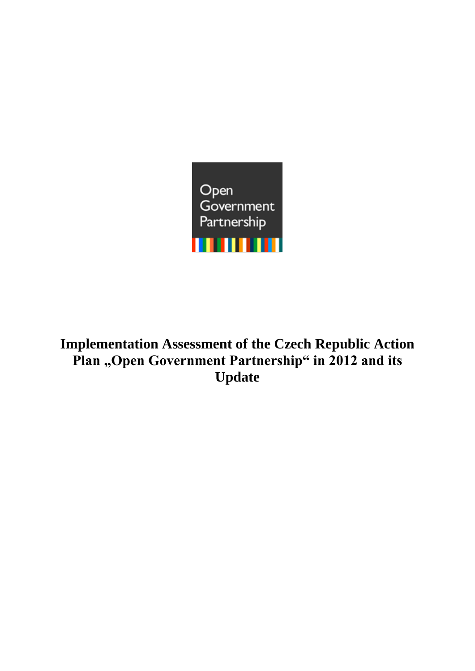

**Implementation Assessment of the Czech Republic Action**  Plan "Open Government Partnership" in 2012 and its **Update**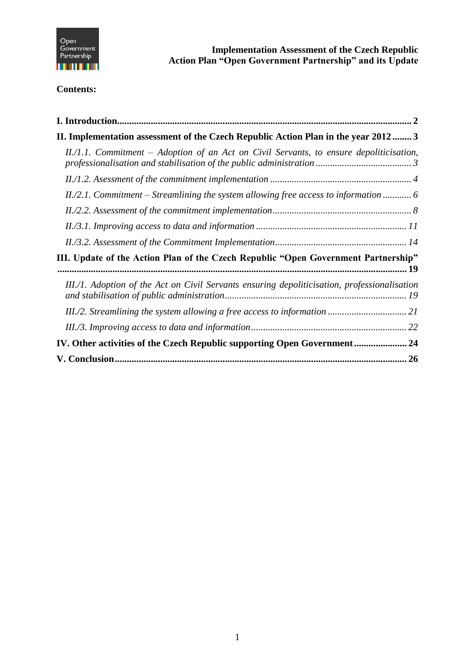

*EXECUTE:* **Implementation Assessment of the Czech Republic Action Plan "Open Government Partnership" and its Update**

# **Contents:**

| II. Implementation assessment of the Czech Republic Action Plan in the year 2012 3           |  |
|----------------------------------------------------------------------------------------------|--|
| II./1.1. Commitment – Adoption of an Act on Civil Servants, to ensure depoliticisation,      |  |
|                                                                                              |  |
| $II$ , $2.1$ . Commitment – Streamlining the system allowing free access to information  6   |  |
|                                                                                              |  |
|                                                                                              |  |
|                                                                                              |  |
| III. Update of the Action Plan of the Czech Republic "Open Government Partnership"           |  |
| III./1. Adoption of the Act on Civil Servants ensuring depoliticisation, professionalisation |  |
|                                                                                              |  |
|                                                                                              |  |
| IV. Other activities of the Czech Republic supporting Open Government  24                    |  |
|                                                                                              |  |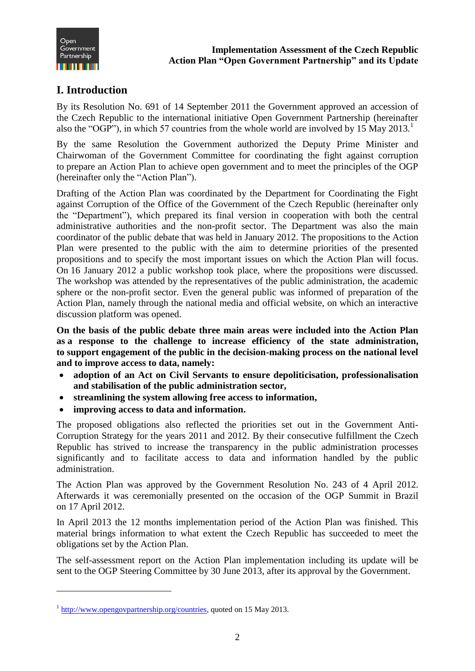

# <span id="page-2-0"></span>**I. Introduction**

By its Resolution No. 691 of 14 September 2011 the Government approved an accession of the Czech Republic to the international initiative Open Government Partnership (hereinafter also the "OGP"), in which 57 countries from the whole world are involved by 15 May 2013.

By the same Resolution the Government authorized the Deputy Prime Minister and Chairwoman of the Government Committee for coordinating the fight against corruption to prepare an Action Plan to achieve open government and to meet the principles of the OGP (hereinafter only the "Action Plan").

Drafting of the Action Plan was coordinated by the Department for Coordinating the Fight against Corruption of the Office of the Government of the Czech Republic (hereinafter only the "Department"), which prepared its final version in cooperation with both the central administrative authorities and the non-profit sector. The Department was also the main coordinator of the public debate that was held in January 2012. The propositions to the Action Plan were presented to the public with the aim to determine priorities of the presented propositions and to specify the most important issues on which the Action Plan will focus. On 16 January 2012 a public workshop took place, where the propositions were discussed. The workshop was attended by the representatives of the public administration, the academic sphere or the non-profit sector. Even the general public was informed of preparation of the Action Plan, namely through the national media and official website, on which an interactive discussion platform was opened.

**On the basis of the public debate three main areas were included into the Action Plan as a response to the challenge to increase efficiency of the state administration, to support engagement of the public in the decision-making process on the national level and to improve access to data, namely:**

- **adoption of an Act on Civil Servants to ensure depoliticisation, professionalisation and stabilisation of the public administration sector,**
- **streamlining the system allowing free access to information,**
- **improving access to data and information.**

The proposed obligations also reflected the priorities set out in the Government Anti-Corruption Strategy for the years 2011 and 2012. By their consecutive fulfillment the Czech Republic has strived to increase the transparency in the public administration processes significantly and to facilitate access to data and information handled by the public administration.

The Action Plan was approved by the Government Resolution No. 243 of 4 April 2012. Afterwards it was ceremonially presented on the occasion of the OGP Summit in Brazil on 17 April 2012.

In April 2013 the 12 months implementation period of the Action Plan was finished. This material brings information to what extent the Czech Republic has succeeded to meet the obligations set by the Action Plan.

The self-assessment report on the Action Plan implementation including its update will be sent to the OGP Steering Committee by 30 June 2013, after its approval by the Government.

 $1 \frac{\text{http://www.opengovpartnership.org/countries}}{\text{http://www.opengovpartnership.org/countries}}$ , quoted on 15 May 2013.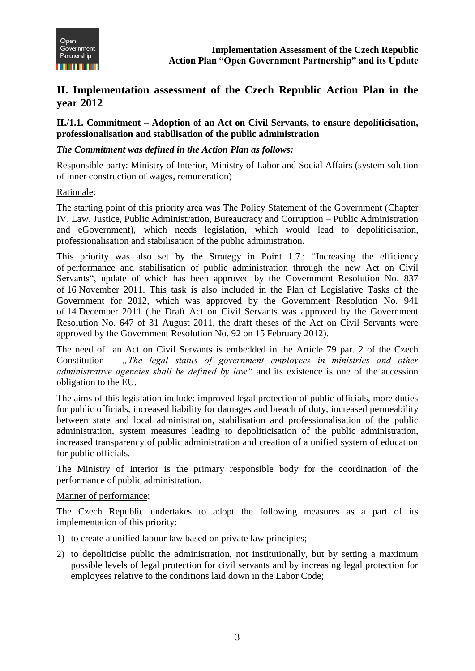

# <span id="page-3-0"></span>**II. Implementation assessment of the Czech Republic Action Plan in the year 2012**

<span id="page-3-1"></span>**II./1.1. Commitment – Adoption of an Act on Civil Servants, to ensure depoliticisation, professionalisation and stabilisation of the public administration**

### *The Commitment was defined in the Action Plan as follows:*

Responsible party: Ministry of Interior, Ministry of Labor and Social Affairs (system solution of inner construction of wages, remuneration)

#### Rationale:

The starting point of this priority area was The Policy Statement of the Government (Chapter IV. Law, Justice, Public Administration, Bureaucracy and Corruption – Public Administration and eGovernment), which needs legislation, which would lead to depoliticisation, professionalisation and stabilisation of the public administration.

This priority was also set by the Strategy in Point 1.7.: "Increasing the efficiency of performance and stabilisation of public administration through the new Act on Civil Servants", update of which has been approved by the Government Resolution No. 837 of 16 November 2011. This task is also included in the Plan of Legislative Tasks of the Government for 2012, which was approved by the Government Resolution No. 941 of 14 December 2011 (the Draft Act on Civil Servants was approved by the Government Resolution No. 647 of 31 August 2011, the draft theses of the Act on Civil Servants were approved by the Government Resolution No. 92 on 15 February 2012).

The need of an Act on Civil Servants is embedded in the Article 79 par. 2 of the Czech Constitution – "The legal status of government employees in ministries and other *administrative agencies shall be defined by law"* and its existence is one of the accession obligation to the EU.

The aims of this legislation include: improved legal protection of public officials, more duties for public officials, increased liability for damages and breach of duty, increased permeability between state and local administration, stabilisation and professionalisation of the public administration, system measures leading to depoliticisation of the public administration, increased transparency of public administration and creation of a unified system of education for public officials.

The Ministry of Interior is the primary responsible body for the coordination of the performance of public administration.

#### Manner of performance:

The Czech Republic undertakes to adopt the following measures as a part of its implementation of this priority:

- 1) to create a unified labour law based on private law principles;
- 2) to depoliticise public the administration, not institutionally, but by setting a maximum possible levels of legal protection for civil servants and by increasing legal protection for employees relative to the conditions laid down in the Labor Code;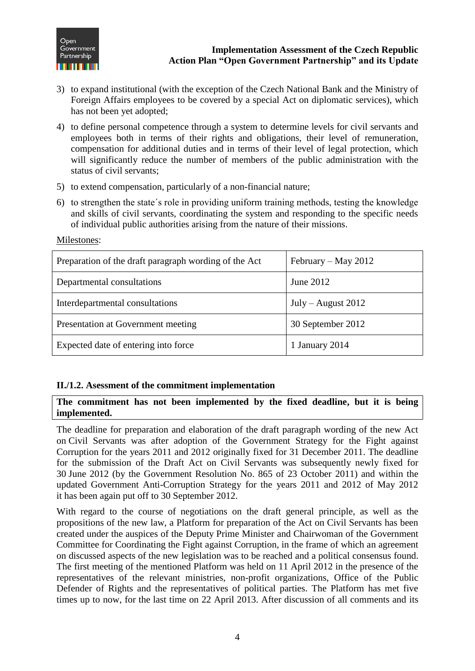

- 3) to expand institutional (with the exception of the Czech National Bank and the Ministry of Foreign Affairs employees to be covered by a special Act on diplomatic services), which has not been yet adopted;
- 4) to define personal competence through a system to determine levels for civil servants and employees both in terms of their rights and obligations, their level of remuneration, compensation for additional duties and in terms of their level of legal protection, which will significantly reduce the number of members of the public administration with the status of civil servants;
- 5) to extend compensation, particularly of a non-financial nature;
- 6) to strengthen the state´s role in providing uniform training methods, testing the knowledge and skills of civil servants, coordinating the system and responding to the specific needs of individual public authorities arising from the nature of their missions.

| Preparation of the draft paragraph wording of the Act | February – May 2012  |
|-------------------------------------------------------|----------------------|
| Departmental consultations                            | June 2012            |
| Interdepartmental consultations                       | $July - August 2012$ |
| Presentation at Government meeting                    | 30 September 2012    |
| Expected date of entering into force                  | 1 January 2014       |

Milestones:

#### <span id="page-4-0"></span>**II./1.2. Asessment of the commitment implementation**

#### **The commitment has not been implemented by the fixed deadline, but it is being implemented.**

The deadline for preparation and elaboration of the draft paragraph wording of the new Act on Civil Servants was after adoption of the Government Strategy for the Fight against Corruption for the years 2011 and 2012 originally fixed for 31 December 2011. The deadline for the submission of the Draft Act on Civil Servants was subsequently newly fixed for 30 June 2012 (by the Government Resolution No. 865 of 23 October 2011) and within the updated Government Anti-Corruption Strategy for the years 2011 and 2012 of May 2012 it has been again put off to 30 September 2012.

With regard to the course of negotiations on the draft general principle, as well as the propositions of the new law, a Platform for preparation of the Act on Civil Servants has been created under the auspices of the Deputy Prime Minister and Chairwoman of the Government Committee for Coordinating the Fight against Corruption, in the frame of which an agreement on discussed aspects of the new legislation was to be reached and a political consensus found. The first meeting of the mentioned Platform was held on 11 April 2012 in the presence of the representatives of the relevant ministries, non-profit organizations, Office of the Public Defender of Rights and the representatives of political parties. The Platform has met five times up to now, for the last time on 22 April 2013. After discussion of all comments and its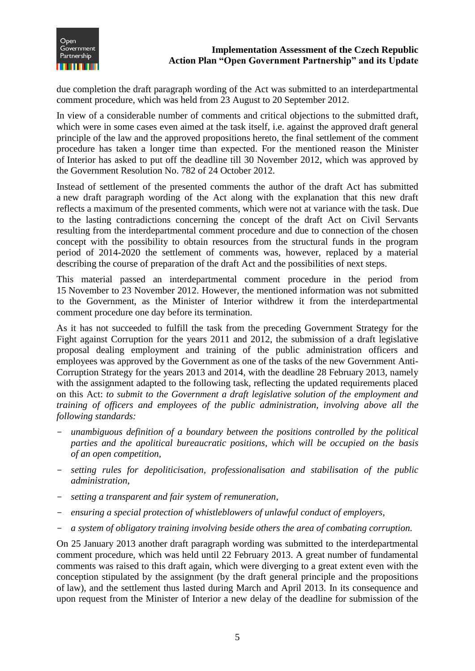

due completion the draft paragraph wording of the Act was submitted to an interdepartmental comment procedure, which was held from 23 August to 20 September 2012.

In view of a considerable number of comments and critical objections to the submitted draft, which were in some cases even aimed at the task itself, i.e. against the approved draft general principle of the law and the approved propositions hereto, the final settlement of the comment procedure has taken a longer time than expected. For the mentioned reason the Minister of Interior has asked to put off the deadline till 30 November 2012, which was approved by the Government Resolution No. 782 of 24 October 2012.

Instead of settlement of the presented comments the author of the draft Act has submitted a new draft paragraph wording of the Act along with the explanation that this new draft reflects a maximum of the presented comments, which were not at variance with the task. Due to the lasting contradictions concerning the concept of the draft Act on Civil Servants resulting from the interdepartmental comment procedure and due to connection of the chosen concept with the possibility to obtain resources from the structural funds in the program period of 2014-2020 the settlement of comments was, however, replaced by a material describing the course of preparation of the draft Act and the possibilities of next steps.

This material passed an interdepartmental comment procedure in the period from 15 November to 23 November 2012. However, the mentioned information was not submitted to the Government, as the Minister of Interior withdrew it from the interdepartmental comment procedure one day before its termination.

As it has not succeeded to fulfill the task from the preceding Government Strategy for the Fight against Corruption for the years 2011 and 2012, the submission of a draft legislative proposal dealing employment and training of the public administration officers and employees was approved by the Government as one of the tasks of the new Government Anti-Corruption Strategy for the years 2013 and 2014, with the deadline 28 February 2013, namely with the assignment adapted to the following task, reflecting the updated requirements placed on this Act: *to submit to the Government a draft legislative solution of the employment and training of officers and employees of the public administration, involving above all the following standards:* 

- *unambiguous definition of a boundary between the positions controlled by the political parties and the apolitical bureaucratic positions, which will be occupied on the basis of an open competition,*
- *setting rules for depoliticisation, professionalisation and stabilisation of the public administration,*
- *setting a transparent and fair system of remuneration,*
- *ensuring a special protection of whistleblowers of unlawful conduct of employers,*
- *a system of obligatory training involving beside others the area of combating corruption.*

On 25 January 2013 another draft paragraph wording was submitted to the interdepartmental comment procedure, which was held until 22 February 2013. A great number of fundamental comments was raised to this draft again, which were diverging to a great extent even with the conception stipulated by the assignment (by the draft general principle and the propositions of law), and the settlement thus lasted during March and April 2013. In its consequence and upon request from the Minister of Interior a new delay of the deadline for submission of the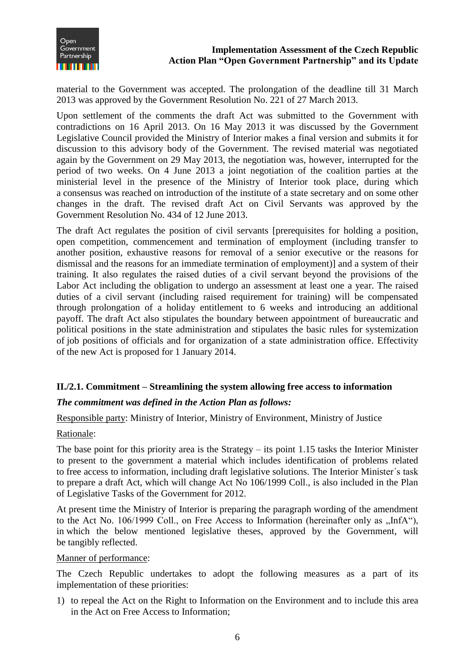

material to the Government was accepted. The prolongation of the deadline till 31 March 2013 was approved by the Government Resolution No. 221 of 27 March 2013.

Upon settlement of the comments the draft Act was submitted to the Government with contradictions on 16 April 2013. On 16 May 2013 it was discussed by the Government Legislative Council provided the Ministry of Interior makes a final version and submits it for discussion to this advisory body of the Government. The revised material was negotiated again by the Government on 29 May 2013, the negotiation was, however, interrupted for the period of two weeks. On 4 June 2013 a joint negotiation of the coalition parties at the ministerial level in the presence of the Ministry of Interior took place, during which a consensus was reached on introduction of the institute of a state secretary and on some other changes in the draft. The revised draft Act on Civil Servants was approved by the Government Resolution No. 434 of 12 June 2013.

The draft Act regulates the position of civil servants [prerequisites for holding a position, open competition, commencement and termination of employment (including transfer to another position, exhaustive reasons for removal of a senior executive or the reasons for dismissal and the reasons for an immediate termination of employment)] and a system of their training. It also regulates the raised duties of a civil servant beyond the provisions of the Labor Act including the obligation to undergo an assessment at least one a year. The raised duties of a civil servant (including raised requirement for training) will be compensated through prolongation of a holiday entitlement to 6 weeks and introducing an additional payoff. The draft Act also stipulates the boundary between appointment of bureaucratic and political positions in the state administration and stipulates the basic rules for systemization of job positions of officials and for organization of a state administration office. Effectivity of the new Act is proposed for 1 January 2014.

#### <span id="page-6-0"></span>**II./2.1. Commitment – Streamlining the system allowing free access to information**

#### *The commitment was defined in the Action Plan as follows:*

#### Responsible party: Ministry of Interior, Ministry of Environment, Ministry of Justice

#### Rationale:

The base point for this priority area is the Strategy – its point 1.15 tasks the Interior Minister to present to the government a material which includes identification of problems related to free access to information, including draft legislative solutions. The Interior Minister´s task to prepare a draft Act, which will change Act No 106/1999 Coll., is also included in the Plan of Legislative Tasks of the Government for 2012.

At present time the Ministry of Interior is preparing the paragraph wording of the amendment to the Act No.  $106/1999$  Coll., on Free Access to Information (hereinafter only as  $\pi$ InfA $\degree$ ), in which the below mentioned legislative theses, approved by the Government, will be tangibly reflected.

#### Manner of performance:

The Czech Republic undertakes to adopt the following measures as a part of its implementation of these priorities:

1) to repeal the Act on the Right to Information on the Environment and to include this area in the Act on Free Access to Information;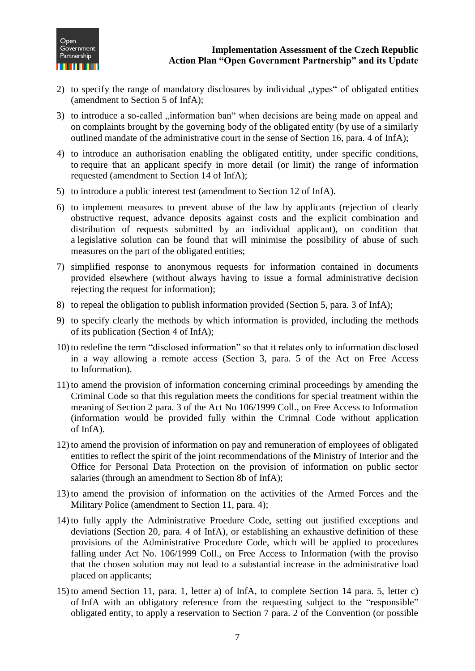

- 2) to specify the range of mandatory disclosures by individual "types" of obligated entities (amendment to Section 5 of InfA);
- 3) to introduce a so-called "information ban" when decisions are being made on appeal and on complaints brought by the governing body of the obligated entity (by use of a similarly outlined mandate of the administrative court in the sense of Section 16, para. 4 of InfA);
- 4) to introduce an authorisation enabling the obligated entitity, under specific conditions, to require that an applicant specify in more detail (or limit) the range of information requested (amendment to Section 14 of InfA);
- 5) to introduce a public interest test (amendment to Section 12 of InfA).
- 6) to implement measures to prevent abuse of the law by applicants (rejection of clearly obstructive request, advance deposits against costs and the explicit combination and distribution of requests submitted by an individual applicant), on condition that a legislative solution can be found that will minimise the possibility of abuse of such measures on the part of the obligated entities;
- 7) simplified response to anonymous requests for information contained in documents provided elsewhere (without always having to issue a formal administrative decision rejecting the request for information);
- 8) to repeal the obligation to publish information provided (Section 5, para. 3 of InfA);
- 9) to specify clearly the methods by which information is provided, including the methods of its publication (Section 4 of InfA);
- 10) to redefine the term "disclosed information" so that it relates only to information disclosed in a way allowing a remote access (Section 3, para. 5 of the Act on Free Access to Information).
- 11) to amend the provision of information concerning criminal proceedings by amending the Criminal Code so that this regulation meets the conditions for special treatment within the meaning of Section 2 para. 3 of the Act No 106/1999 Coll., on Free Access to Information (information would be provided fully within the Crimnal Code without application of InfA).
- 12) to amend the provision of information on pay and remuneration of employees of obligated entities to reflect the spirit of the joint recommendations of the Ministry of Interior and the Office for Personal Data Protection on the provision of information on public sector salaries (through an amendment to Section 8b of InfA);
- 13) to amend the provision of information on the activities of the Armed Forces and the Military Police (amendment to Section 11, para. 4);
- 14) to fully apply the Administrative Proedure Code, setting out justified exceptions and deviations (Section 20, para. 4 of InfA), or establishing an exhaustive definition of these provisions of the Administrative Procedure Code, which will be applied to procedures falling under Act No. 106/1999 Coll., on Free Access to Information (with the proviso that the chosen solution may not lead to a substantial increase in the administrative load placed on applicants;
- 15) to amend Section 11, para. 1, letter a) of InfA, to complete Section 14 para. 5, letter c) of InfA with an obligatory reference from the requesting subject to the "responsible" obligated entity, to apply a reservation to Section 7 para. 2 of the Convention (or possible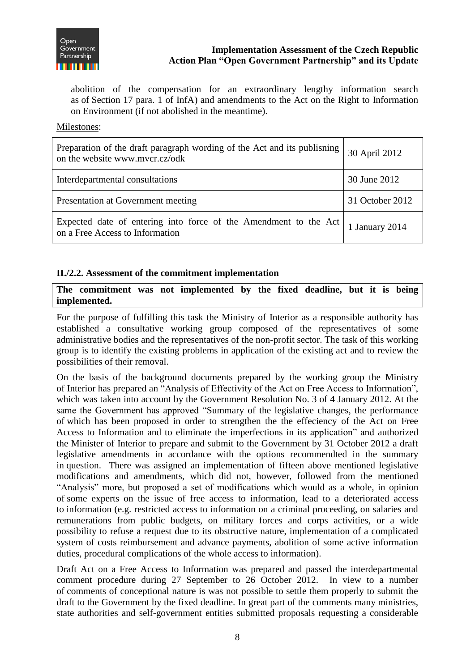

abolition of the compensation for an extraordinary lengthy information search as of Section 17 para. 1 of InfA) and amendments to the Act on the Right to Information on Environment (if not abolished in the meantime).

#### Milestones:

| Preparation of the draft paragraph wording of the Act and its publishing<br>on the website www.mvcr.cz/odk | 30 April 2012   |
|------------------------------------------------------------------------------------------------------------|-----------------|
| Interdepartmental consultations                                                                            | 30 June 2012    |
| Presentation at Government meeting                                                                         | 31 October 2012 |
| Expected date of entering into force of the Amendment to the Act<br>on a Free Access to Information        | January 2014    |

#### <span id="page-8-0"></span>**II./2.2. Assessment of the commitment implementation**

**The commitment was not implemented by the fixed deadline, but it is being implemented.**

For the purpose of fulfilling this task the Ministry of Interior as a responsible authority has established a consultative working group composed of the representatives of some administrative bodies and the representatives of the non-profit sector. The task of this working group is to identify the existing problems in application of the existing act and to review the possibilities of their removal.

On the basis of the background documents prepared by the working group the Ministry of Interior has prepared an "Analysis of Effectivity of the Act on Free Access to Information", which was taken into account by the Government Resolution No. 3 of 4 January 2012. At the same the Government has approved "Summary of the legislative changes, the performance of which has been proposed in order to strengthen the the effeciency of the Act on Free Access to Information and to eliminate the imperfections in its application" and authorized the Minister of Interior to prepare and submit to the Government by 31 October 2012 a draft legislative amendments in accordance with the options recommendted in the summary in question. There was assigned an implementation of fifteen above mentioned legislative modifications and amendments, which did not, however, followed from the mentioned "Analysis" more, but proposed a set of modifications which would as a whole, in opinion of some experts on the issue of free access to information, lead to a deteriorated access to information (e.g. restricted access to information on a criminal proceeding, on salaries and remunerations from public budgets, on military forces and corps activities, or a wide possibility to refuse a request due to its obstructive nature, implementation of a complicated system of costs reimbursement and advance payments, abolition of some active information duties, procedural complications of the whole access to information).

Draft Act on a Free Access to Information was prepared and passed the interdepartmental comment procedure during 27 September to 26 October 2012. In view to a number of comments of conceptional nature is was not possible to settle them properly to submit the draft to the Government by the fixed deadline. In great part of the comments many ministries, state authorities and self-government entities submitted proposals requesting a considerable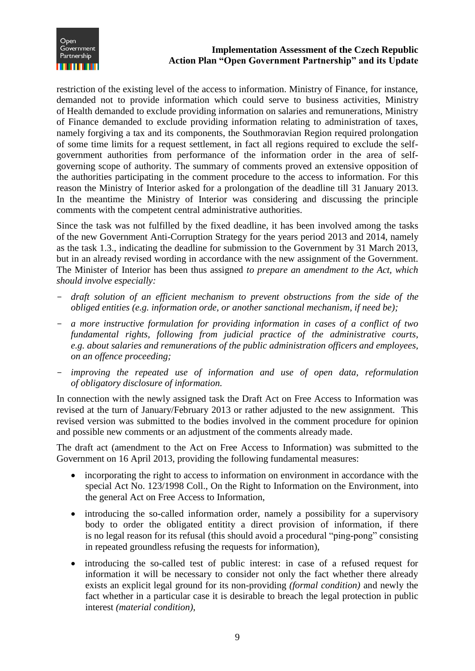

restriction of the existing level of the access to information. Ministry of Finance, for instance, demanded not to provide information which could serve to business activities, Ministry of Health demanded to exclude providing information on salaries and remunerations, Ministry of Finance demanded to exclude providing information relating to administration of taxes, namely forgiving a tax and its components, the Southmoravian Region required prolongation of some time limits for a request settlement, in fact all regions required to exclude the selfgovernment authorities from performance of the information order in the area of selfgoverning scope of authority. The summary of comments proved an extensive opposition of the authorities participating in the comment procedure to the access to information. For this reason the Ministry of Interior asked for a prolongation of the deadline till 31 January 2013. In the meantime the Ministry of Interior was considering and discussing the principle comments with the competent central administrative authorities.

Since the task was not fulfilled by the fixed deadline, it has been involved among the tasks of the new Government Anti-Corruption Strategy for the years period 2013 and 2014, namely as the task 1.3., indicating the deadline for submission to the Government by 31 March 2013, but in an already revised wording in accordance with the new assignment of the Government. The Minister of Interior has been thus assigned *to prepare an amendment to the Act, which should involve especially:*

- *draft solution of an efficient mechanism to prevent obstructions from the side of the obliged entities (e.g. information orde, or another sanctional mechanism, if need be);*
- *a more instructive formulation for providing information in cases of a conflict of two fundamental rights, following from judicial practice of the administrative courts, e.g. about salaries and remunerations of the public administration officers and employees, on an offence proceeding;*
- *improving the repeated use of information and use of open data, reformulation of obligatory disclosure of information.*

In connection with the newly assigned task the Draft Act on Free Access to Information was revised at the turn of January/February 2013 or rather adjusted to the new assignment. This revised version was submitted to the bodies involved in the comment procedure for opinion and possible new comments or an adjustment of the comments already made.

The draft act (amendment to the Act on Free Access to Information) was submitted to the Government on 16 April 2013, providing the following fundamental measures:

- incorporating the right to access to information on environment in accordance with the special Act No. 123/1998 Coll., On the Right to Information on the Environment, into the general Act on Free Access to Information,
- introducing the so-called information order, namely a possibility for a supervisory body to order the obligated entitity a direct provision of information, if there is no legal reason for its refusal (this should avoid a procedural "ping-pong" consisting in repeated groundless refusing the requests for information),
- introducing the so-called test of public interest: in case of a refused request for information it will be necessary to consider not only the fact whether there already exists an explicit legal ground for its non-providing *(formal condition)* and newly the fact whether in a particular case it is desirable to breach the legal protection in public interest *(material condition)*,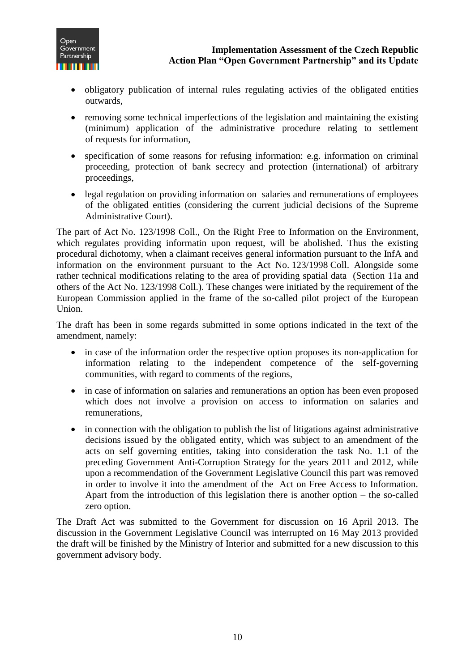

- obligatory publication of internal rules regulating activies of the obligated entities outwards,
- removing some technical imperfections of the legislation and maintaining the existing (minimum) application of the administrative procedure relating to settlement of requests for information,
- specification of some reasons for refusing information: e.g. information on criminal proceeding, protection of bank secrecy and protection (international) of arbitrary proceedings,
- legal regulation on providing information on salaries and remunerations of employees of the obligated entities (considering the current judicial decisions of the Supreme Administrative Court).

The part of Act No. 123/1998 Coll., On the Right Free to Information on the Environment, which regulates providing informatin upon request, will be abolished. Thus the existing procedural dichotomy, when a claimant receives general information pursuant to the InfA and information on the environment pursuant to the Act No. 123/1998 Coll. Alongside some rather technical modifications relating to the area of providing spatial data (Section 11a and others of the Act No. 123/1998 Coll.). These changes were initiated by the requirement of the European Commission applied in the frame of the so-called pilot project of the European Union.

The draft has been in some regards submitted in some options indicated in the text of the amendment, namely:

- in case of the information order the respective option proposes its non-application for information relating to the independent competence of the self-governing communities, with regard to comments of the regions,
- in case of information on salaries and remunerations an option has been even proposed which does not involve a provision on access to information on salaries and remunerations,
- in connection with the obligation to publish the list of litigations against administrative decisions issued by the obligated entity, which was subject to an amendment of the acts on self governing entities, taking into consideration the task No. 1.1 of the preceding Government Anti-Corruption Strategy for the years 2011 and 2012, while upon a recommendation of the Government Legislative Council this part was removed in order to involve it into the amendment of the Act on Free Access to Information. Apart from the introduction of this legislation there is another option – the so-called zero option.

The Draft Act was submitted to the Government for discussion on 16 April 2013. The discussion in the Government Legislative Council was interrupted on 16 May 2013 provided the draft will be finished by the Ministry of Interior and submitted for a new discussion to this government advisory body.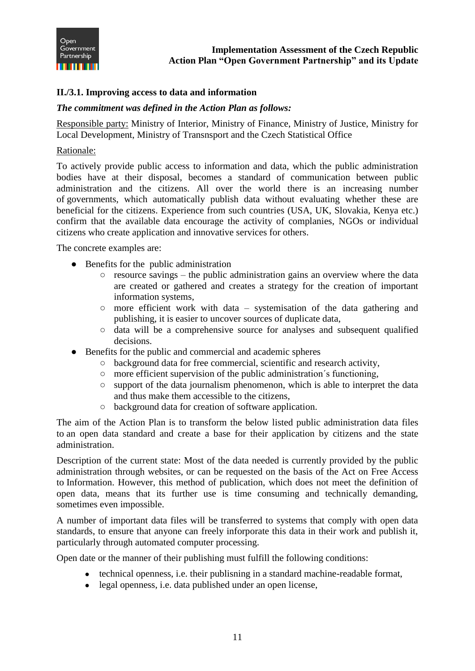

# <span id="page-11-0"></span>**II./3.1. Improving access to data and information**

#### *The commitment was defined in the Action Plan as follows:*

Responsible party: Ministry of Interior, Ministry of Finance, Ministry of Justice, Ministry for Local Development, Ministry of Transnsport and the Czech Statistical Office

#### Rationale:

To actively provide public access to information and data, which the public administration bodies have at their disposal, becomes a standard of communication between public administration and the citizens. All over the world there is an increasing number of governments, which automatically publish data without evaluating whether these are beneficial for the citizens. Experience from such countries (USA, UK, Slovakia, Kenya etc.) confirm that the available data encourage the activity of complanies, NGOs or individual citizens who create application and innovative services for others.

The concrete examples are:

- Benefits for the public administration
	- $\circ$  resource savings the public administration gains an overview where the data are created or gathered and creates a strategy for the creation of important information systems,
	- more efficient work with data systemisation of the data gathering and publishing, it is easier to uncover sources of duplicate data,
	- data will be a comprehensive source for analyses and subsequent qualified decisions.
- Benefits for the public and commercial and academic spheres
	- background data for free commercial, scientific and research activity,
	- more efficient supervision of the public administration´s functioning,
	- $\circ$  support of the data journalism phenomenon, which is able to interpret the data and thus make them accessible to the citizens,
	- background data for creation of software application.

The aim of the Action Plan is to transform the below listed public administration data files to an open data standard and create a base for their application by citizens and the state administration.

Description of the current state: Most of the data needed is currently provided by the public administration through websites, or can be requested on the basis of the Act on Free Access to Information. However, this method of publication, which does not meet the definition of open data, means that its further use is time consuming and technically demanding, sometimes even impossible.

A number of important data files will be transferred to systems that comply with open data standards, to ensure that anyone can freely inforporate this data in their work and publish it, particularly through automated computer processing.

Open date or the manner of their publishing must fulfill the following conditions:

- technical openness, i.e. their publisning in a standard machine-readable format,
- legal openness, i.e. data published under an open license,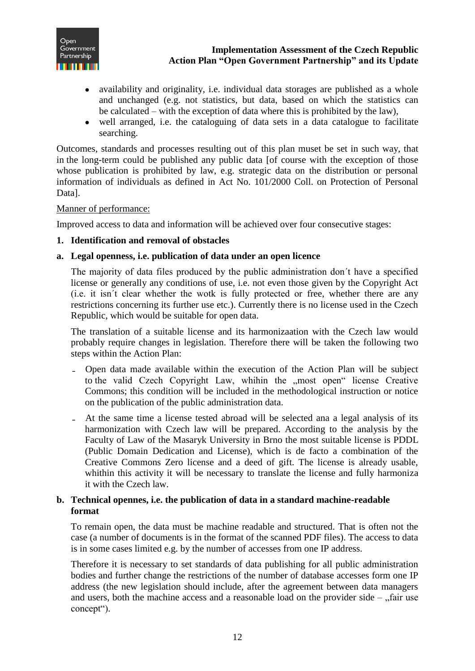

- availability and originality, i.e. individual data storages are published as a whole and unchanged (e.g. not statistics, but data, based on which the statistics can be calculated – with the exception of data where this is prohibited by the law),
- well arranged, i.e. the cataloguing of data sets in a data catalogue to facilitate searching.

Outcomes, standards and processes resulting out of this plan muset be set in such way, that in the long-term could be published any public data [of course with the exception of those whose publication is prohibited by law, e.g. strategic data on the distribution or personal information of individuals as defined in Act No. 101/2000 Coll. on Protection of Personal Data].

#### Manner of performance:

Improved access to data and information will be achieved over four consecutive stages:

#### **1. Identification and removal of obstacles**

#### **a. Legal openness, i.e. publication of data under an open licence**

The majority of data files produced by the public administration don´t have a specified license or generally any conditions of use, i.e. not even those given by the Copyright Act (i.e. it isn´t clear whether the wotk is fully protected or free, whether there are any restrictions concerning its further use etc.). Currently there is no license used in the Czech Republic, which would be suitable for open data.

The translation of a suitable license and its harmonizaation with the Czech law would probably require changes in legislation. Therefore there will be taken the following two steps within the Action Plan:

- Open data made available within the execution of the Action Plan will be subject to the valid Czech Copyright Law, whihin the "most open" license Creative Commons; this condition will be included in the methodological instruction or notice on the publication of the public administration data.
- At the same time a license tested abroad will be selected ana a legal analysis of its harmonization with Czech law will be prepared. According to the analysis by the Faculty of Law of the Masaryk University in Brno the most suitable license is PDDL (Public Domain Dedication and License), which is de facto a combination of the Creative Commons Zero license and a deed of gift. The license is already usable, whithin this activity it will be necessary to translate the license and fully harmoniza it with the Czech law.

# **b. Technical opennes, i.e. the publication of data in a standard machine-readable format**

To remain open, the data must be machine readable and structured. That is often not the case (a number of documents is in the format of the scanned PDF files). The access to data is in some cases limited e.g. by the number of accesses from one IP address.

Therefore it is necessary to set standards of data publishing for all public administration bodies and further change the restrictions of the number of database accesses form one IP address (the new legislation should include, after the agreement between data managers and users, both the machine access and a reasonable load on the provider side  $\pi$  fair use concept").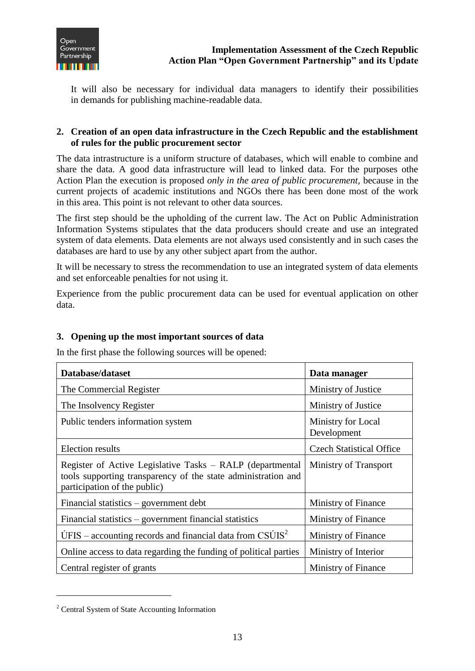

It will also be necessary for individual data managers to identify their possibilities in demands for publishing machine-readable data.

# **2. Creation of an open data infrastructure in the Czech Republic and the establishment of rules for the public procurement sector**

The data intrastructure is a uniform structure of databases, which will enable to combine and share the data. A good data infrastructure will lead to linked data. For the purposes othe Action Plan the execution is proposed *only in the area of public procurement,* because in the current projects of academic institutions and NGOs there has been done most of the work in this area. This point is not relevant to other data sources.

The first step should be the upholding of the current law. The Act on Public Administration Information Systems stipulates that the data producers should create and use an integrated system of data elements. Data elements are not always used consistently and in such cases the databases are hard to use by any other subject apart from the author.

It will be necessary to stress the recommendation to use an integrated system of data elements and set enforceable penalties for not using it.

Experience from the public procurement data can be used for eventual application on other data.

# **3. Opening up the most important sources of data**

In the first phase the following sources will be opened:

| Database/dataset                                                                                                                                           | Data manager                      |
|------------------------------------------------------------------------------------------------------------------------------------------------------------|-----------------------------------|
| The Commercial Register                                                                                                                                    | Ministry of Justice               |
| The Insolvency Register                                                                                                                                    | Ministry of Justice               |
| Public tenders information system                                                                                                                          | Ministry for Local<br>Development |
| <b>Election results</b>                                                                                                                                    | <b>Czech Statistical Office</b>   |
| Register of Active Legislative Tasks – RALP (departmental<br>tools supporting transparency of the state administration and<br>participation of the public) | Ministry of Transport             |
| Financial statistics $-$ government debt                                                                                                                   | Ministry of Finance               |
| Financial statistics – government financial statistics                                                                                                     | Ministry of Finance               |
| UFIS – accounting records and financial data from $CSUIS2$                                                                                                 | Ministry of Finance               |
| Online access to data regarding the funding of political parties                                                                                           | Ministry of Interior              |
| Central register of grants                                                                                                                                 | Ministry of Finance               |

<sup>2</sup> Central System of State Accounting Information

 $\overline{a}$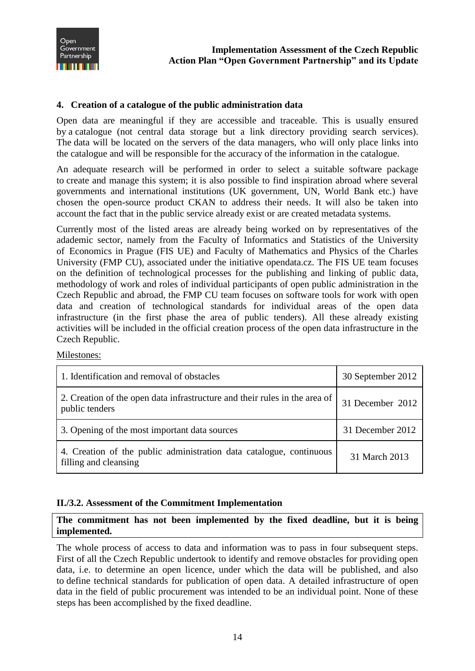

### **4. Creation of a catalogue of the public administration data**

Open data are meaningful if they are accessible and traceable. This is usually ensured by a catalogue (not central data storage but a link directory providing search services). The data will be located on the servers of the data managers, who will only place links into the catalogue and will be responsible for the accuracy of the information in the catalogue.

An adequate research will be performed in order to select a suitable software package to create and manage this system; it is also possible to find inspiration abroad where several governments and international institutions (UK government, UN, World Bank etc.) have chosen the open-source product CKAN to address their needs. It will also be taken into account the fact that in the public service already exist or are created metadata systems.

Currently most of the listed areas are already being worked on by representatives of the adademic sector, namely from the Faculty of Informatics and Statistics of the University of Economics in Prague (FIS UE) and Faculty of Mathematics and Physics of the Charles University (FMP CU), associated under the initiative opendata.cz. The FIS UE team focuses on the definition of technological processes for the publishing and linking of public data, methodology of work and roles of individual participants of open public administration in the Czech Republic and abroad, the FMP CU team focuses on software tools for work with open data and creation of technological standards for individual areas of the open data infrastructure (in the first phase the area of public tenders). All these already existing activities will be included in the official creation process of the open data infrastructure in the Czech Republic.

Milestones:

| 1. Identification and removal of obstacles                                                   | 30 September 2012 |
|----------------------------------------------------------------------------------------------|-------------------|
| 2. Creation of the open data infrastructure and their rules in the area of<br>public tenders | 31 December 2012  |
| 3. Opening of the most important data sources                                                | 31 December 2012  |
| 4. Creation of the public administration data catalogue, continuous<br>filling and cleansing | 31 March 2013     |

#### <span id="page-14-0"></span>**II./3.2. Assessment of the Commitment Implementation**

**The commitment has not been implemented by the fixed deadline, but it is being implemented.**

The whole process of access to data and information was to pass in four subsequent steps. First of all the Czech Republic undertook to identify and remove obstacles for providing open data, i.e. to determine an open licence, under which the data will be published, and also to define technical standards for publication of open data. A detailed infrastructure of open data in the field of public procurement was intended to be an individual point. None of these steps has been accomplished by the fixed deadline.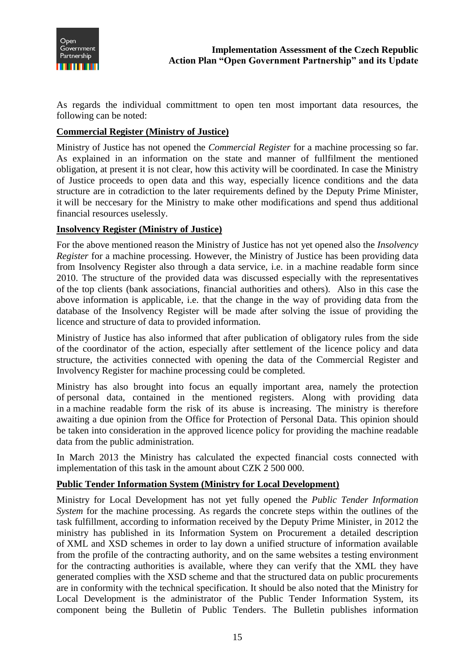

As regards the individual committment to open ten most important data resources, the following can be noted:

### **Commercial Register (Ministry of Justice)**

Ministry of Justice has not opened the *Commercial Register* for a machine processing so far. As explained in an information on the state and manner of fullfilment the mentioned obligation, at present it is not clear, how this activity will be coordinated. In case the Ministry of Justice proceeds to open data and this way, especially licence conditions and the data structure are in cotradiction to the later requirements defined by the Deputy Prime Minister, it will be neccesary for the Ministry to make other modifications and spend thus additional financial resources uselessly.

#### **Insolvency Register (Ministry of Justice)**

For the above mentioned reason the Ministry of Justice has not yet opened also the *Insolvency Register* for a machine processing. However, the Ministry of Justice has been providing data from Insolvency Register also through a data service, i.e. in a machine readable form since 2010. The structure of the provided data was discussed especially with the representatives of the top clients (bank associations, financial authorities and others). Also in this case the above information is applicable, i.e. that the change in the way of providing data from the database of the Insolvency Register will be made after solving the issue of providing the licence and structure of data to provided information.

Ministry of Justice has also informed that after publication of obligatory rules from the side of the coordinator of the action, especially after settlement of the licence policy and data structure, the activities connected with opening the data of the Commercial Register and Involvency Register for machine processing could be completed.

Ministry has also brought into focus an equally important area, namely the protection of personal data, contained in the mentioned registers. Along with providing data in a machine readable form the risk of its abuse is increasing. The ministry is therefore awaiting a due opinion from the Office for Protection of Personal Data. This opinion should be taken into consideration in the approved licence policy for providing the machine readable data from the public administration.

In March 2013 the Ministry has calculated the expected financial costs connected with implementation of this task in the amount about CZK 2 500 000.

#### **Public Tender Information System (Ministry for Local Development)**

Ministry for Local Development has not yet fully opened the *Public Tender Information System* for the machine processing. As regards the concrete steps within the outlines of the task fulfillment, according to information received by the Deputy Prime Minister, in 2012 the ministry has published in its Information System on Procurement a detailed description of XML and XSD schemes in order to lay down a unified structure of information available from the profile of the contracting authority, and on the same websites a testing environment for the contracting authorities is available, where they can verify that the XML they have generated complies with the XSD scheme and that the structured data on public procurements are in conformity with the technical specification. It should be also noted that the Ministry for Local Development is the administrator of the Public Tender Information System, its component being the Bulletin of Public Tenders. The Bulletin publishes information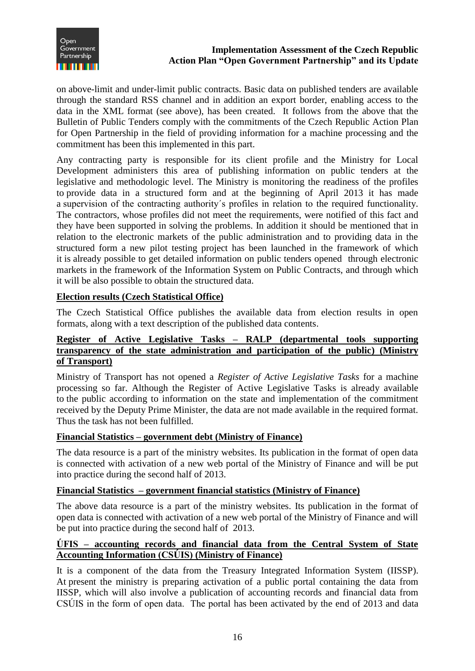

on above-limit and under-limit public contracts. Basic data on published tenders are available through the standard RSS channel and in addition an export border, enabling access to the data in the XML format (see above), has been created. It follows from the above that the Bulletin of Public Tenders comply with the commitments of the Czech Republic Action Plan for Open Partnership in the field of providing information for a machine processing and the commitment has been this implemented in this part.

Any contracting party is responsible for its client profile and the Ministry for Local Development administers this area of publishing information on public tenders at the legislative and methodologic level. The Ministry is monitoring the readiness of the profiles to provide data in a structured form and at the beginning of April 2013 it has made a supervision of the contracting authority´s profiles in relation to the required functionality. The contractors, whose profiles did not meet the requirements, were notified of this fact and they have been supported in solving the problems. In addition it should be mentioned that in relation to the electronic markets of the public administration and to providing data in the structured form a new pilot testing project has been launched in the framework of which it is already possible to get detailed information on public tenders opened through electronic markets in the framework of the Information System on Public Contracts, and through which it will be also possible to obtain the structured data.

# **Election results (Czech Statistical Office)**

The Czech Statistical Office publishes the available data from election results in open formats, along with a text description of the published data contents.

### **Register of Active Legislative Tasks – RALP (departmental tools supporting transparency of the state administration and participation of the public) (Ministry of Transport)**

Ministry of Transport has not opened a *Register of Active Legislative Tasks* for a machine processing so far. Although the Register of Active Legislative Tasks is already available to the public according to information on the state and implementation of the commitment received by the Deputy Prime Minister, the data are not made available in the required format. Thus the task has not been fulfilled.

#### **Financial Statistics – government debt (Ministry of Finance)**

The data resource is a part of the ministry websites. Its publication in the format of open data is connected with activation of a new web portal of the Ministry of Finance and will be put into practice during the second half of 2013.

#### **Financial Statistics – government financial statistics (Ministry of Finance)**

The above data resource is a part of the ministry websites. Its publication in the format of open data is connected with activation of a new web portal of the Ministry of Finance and will be put into practice during the second half of 2013.

#### **ÚFIS – accounting records and financial data from the Central System of State Accounting Information (CSÚIS) (Ministry of Finance)**

It is a component of the data from the Treasury Integrated Information System (IISSP). At present the ministry is preparing activation of a public portal containing the data from IISSP, which will also involve a publication of accounting records and financial data from CSÚIS in the form of open data. The portal has been activated by the end of 2013 and data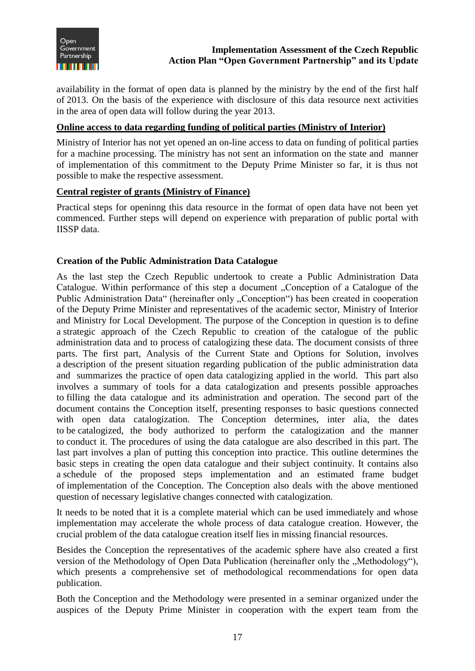

availability in the format of open data is planned by the ministry by the end of the first half of 2013. On the basis of the experience with disclosure of this data resource next activities in the area of open data will follow during the year 2013.

### **Online access to data regarding funding of political parties (Ministry of Interior)**

Ministry of Interior has not yet opened an on-line access to data on funding of political parties for a machine processing. The ministry has not sent an information on the state and manner of implementation of this commitment to the Deputy Prime Minister so far, it is thus not possible to make the respective assessment.

#### **Central register of grants (Ministry of Finance)**

Practical steps for openinng this data resource in the format of open data have not been yet commenced. Further steps will depend on experience with preparation of public portal with IISSP data.

#### **Creation of the Public Administration Data Catalogue**

As the last step the Czech Republic undertook to create a Public Administration Data Catalogue. Within performance of this step a document "Conception of a Catalogue of the Public Administration Data" (hereinafter only "Conception") has been created in cooperation of the Deputy Prime Minister and representatives of the academic sector, Ministry of Interior and Ministry for Local Development. The purpose of the Conception in question is to define a strategic approach of the Czech Republic to creation of the catalogue of the public administration data and to process of catalogizing these data. The document consists of three parts. The first part, Analysis of the Current State and Options for Solution, involves a description of the present situation regarding publication of the public administration data and summarizes the practice of open data catalogizing applied in the world. This part also involves a summary of tools for a data catalogization and presents possible approaches to filling the data catalogue and its administration and operation. The second part of the document contains the Conception itself, presenting responses to basic questions connected with open data catalogization. The Conception determines, inter alia, the dates to be catalogized, the body authorized to perform the catalogization and the manner to conduct it. The procedures of using the data catalogue are also described in this part. The last part involves a plan of putting this conception into practice. This outline determines the basic steps in creating the open data catalogue and their subject continuity. It contains also a schedule of the proposed steps implementation and an estimated frame budget of implementation of the Conception. The Conception also deals with the above mentioned question of necessary legislative changes connected with catalogization.

It needs to be noted that it is a complete material which can be used immediately and whose implementation may accelerate the whole process of data catalogue creation. However, the crucial problem of the data catalogue creation itself lies in missing financial resources.

Besides the Conception the representatives of the academic sphere have also created a first version of the Methodology of Open Data Publication (hereinafter only the "Methodology"), which presents a comprehensive set of methodological recommendations for open data publication.

Both the Conception and the Methodology were presented in a seminar organized under the auspices of the Deputy Prime Minister in cooperation with the expert team from the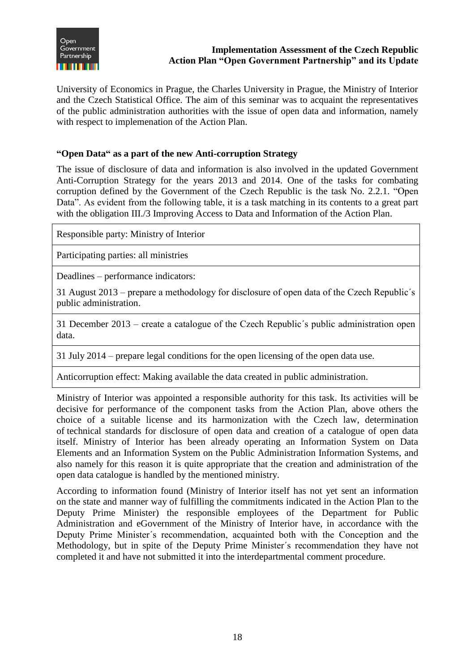

University of Economics in Prague, the Charles University in Prague, the Ministry of Interior and the Czech Statistical Office. The aim of this seminar was to acquaint the representatives of the public administration authorities with the issue of open data and information, namely with respect to implemenation of the Action Plan.

# **"Open Data" as a part of the new Anti-corruption Strategy**

The issue of disclosure of data and information is also involved in the updated Government Anti-Corruption Strategy for the years 2013 and 2014. One of the tasks for combating corruption defined by the Government of the Czech Republic is the task No. 2.2.1. "Open Data". As evident from the following table, it is a task matching in its contents to a great part with the obligation III./3 Improving Access to Data and Information of the Action Plan.

Responsible party: Ministry of Interior

Participating parties: all ministries

Deadlines – performance indicators:

31 August 2013 – prepare a methodology for disclosure of open data of the Czech Republic´s public administration.

31 December 2013 – create a catalogue of the Czech Republic´s public administration open data.

31 July 2014 – prepare legal conditions for the open licensing of the open data use.

Anticorruption effect: Making available the data created in public administration.

Ministry of Interior was appointed a responsible authority for this task. Its activities will be decisive for performance of the component tasks from the Action Plan, above others the choice of a suitable license and its harmonization with the Czech law, determination of technical standards for disclosure of open data and creation of a catalogue of open data itself. Ministry of Interior has been already operating an Information System on Data Elements and an Information System on the Public Administration Information Systems, and also namely for this reason it is quite appropriate that the creation and administration of the open data catalogue is handled by the mentioned ministry.

According to information found (Ministry of Interior itself has not yet sent an information on the state and manner way of fulfilling the commitments indicated in the Action Plan to the Deputy Prime Minister) the responsible employees of the Department for Public Administration and eGovernment of the Ministry of Interior have, in accordance with the Deputy Prime Minister´s recommendation, acquainted both with the Conception and the Methodology, but in spite of the Deputy Prime Minister´s recommendation they have not completed it and have not submitted it into the interdepartmental comment procedure.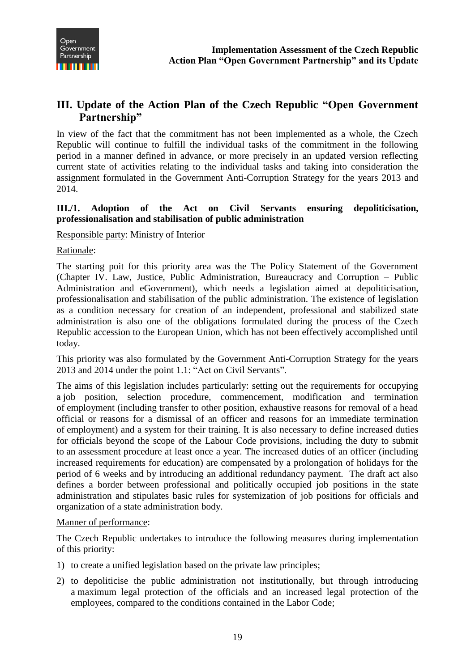

# <span id="page-19-0"></span>**III. Update of the Action Plan of the Czech Republic "Open Government Partnership"**

In view of the fact that the commitment has not been implemented as a whole, the Czech Republic will continue to fulfill the individual tasks of the commitment in the following period in a manner defined in advance, or more precisely in an updated version reflecting current state of activities relating to the individual tasks and taking into consideration the assignment formulated in the Government Anti-Corruption Strategy for the years 2013 and 2014.

# <span id="page-19-1"></span>**III./1. Adoption of the Act on Civil Servants ensuring depoliticisation, professionalisation and stabilisation of public administration**

Responsible party: Ministry of Interior

Rationale:

The starting poit for this priority area was the The Policy Statement of the Government (Chapter IV. Law, Justice, Public Administration, Bureaucracy and Corruption – Public Administration and eGovernment), which needs a legislation aimed at depoliticisation, professionalisation and stabilisation of the public administration. The existence of legislation as a condition necessary for creation of an independent, professional and stabilized state administration is also one of the obligations formulated during the process of the Czech Republic accession to the European Union, which has not been effectively accomplished until today.

This priority was also formulated by the Government Anti-Corruption Strategy for the years 2013 and 2014 under the point 1.1: "Act on Civil Servants".

The aims of this legislation includes particularly: setting out the requirements for occupying a job position, selection procedure, commencement, modification and termination of employment (including transfer to other position, exhaustive reasons for removal of a head official or reasons for a dismissal of an officer and reasons for an immediate termination of employment) and a system for their training. It is also necessary to define increased duties for officials beyond the scope of the Labour Code provisions, including the duty to submit to an assessment procedure at least once a year. The increased duties of an officer (including increased requirements for education) are compensated by a prolongation of holidays for the period of 6 weeks and by introducing an additional redundancy payment. The draft act also defines a border between professional and politically occupied job positions in the state administration and stipulates basic rules for systemization of job positions for officials and organization of a state administration body.

# Manner of performance:

The Czech Republic undertakes to introduce the following measures during implementation of this priority:

- 1) to create a unified legislation based on the private law principles;
- 2) to depoliticise the public administration not institutionally, but through introducing a maximum legal protection of the officials and an increased legal protection of the employees, compared to the conditions contained in the Labor Code;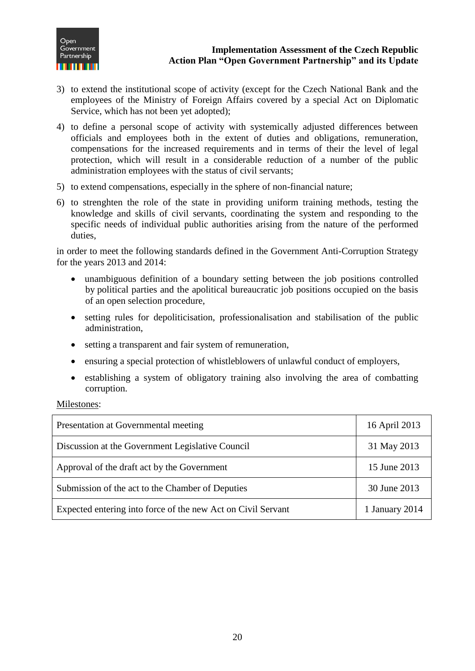

- 3) to extend the institutional scope of activity (except for the Czech National Bank and the employees of the Ministry of Foreign Affairs covered by a special Act on Diplomatic Service, which has not been yet adopted);
- 4) to define a personal scope of activity with systemically adjusted differences between officials and employees both in the extent of duties and obligations, remuneration, compensations for the increased requirements and in terms of their the level of legal protection, which will result in a considerable reduction of a number of the public administration employees with the status of civil servants;
- 5) to extend compensations, especially in the sphere of non-financial nature;
- 6) to strenghten the role of the state in providing uniform training methods, testing the knowledge and skills of civil servants, coordinating the system and responding to the specific needs of individual public authorities arising from the nature of the performed duties,

in order to meet the following standards defined in the Government Anti-Corruption Strategy for the years 2013 and 2014:

- unambiguous definition of a boundary setting between the job positions controlled by political parties and the apolitical bureaucratic job positions occupied on the basis of an open selection procedure,
- setting rules for depoliticisation, professionalisation and stabilisation of the public administration,
- setting a transparent and fair system of remuneration,
- ensuring a special protection of whistleblowers of unlawful conduct of employers,
- establishing a system of obligatory training also involving the area of combatting corruption.

Milestones:

| Presentation at Governmental meeting                         | 16 April 2013  |
|--------------------------------------------------------------|----------------|
| Discussion at the Government Legislative Council             | 31 May 2013    |
| Approval of the draft act by the Government                  | 15 June 2013   |
| Submission of the act to the Chamber of Deputies             | 30 June 2013   |
| Expected entering into force of the new Act on Civil Servant | 1 January 2014 |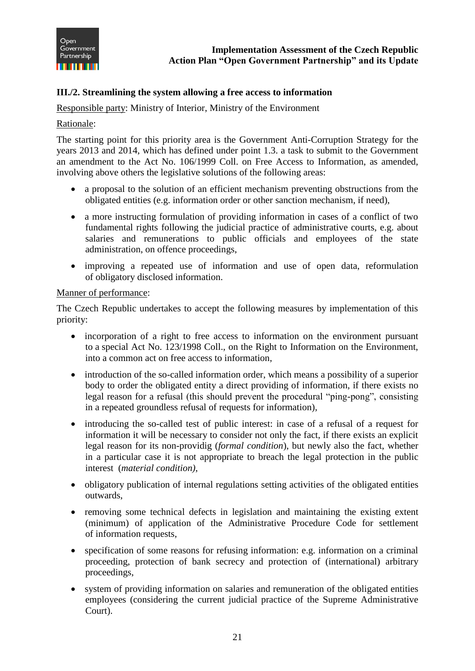

# <span id="page-21-0"></span>**III./2. Streamlining the system allowing a free access to information**

Responsible party: Ministry of Interior, Ministry of the Environment

#### Rationale:

The starting point for this priority area is the Government Anti-Corruption Strategy for the years 2013 and 2014, which has defined under point 1.3. a task to submit to the Government an amendment to the Act No. 106/1999 Coll. on Free Access to Information, as amended, involving above others the legislative solutions of the following areas:

- a proposal to the solution of an efficient mechanism preventing obstructions from the obligated entities (e.g. information order or other sanction mechanism, if need),
- a more instructing formulation of providing information in cases of a conflict of two fundamental rights following the judicial practice of administrative courts, e.g. about salaries and remunerations to public officials and employees of the state administration, on offence proceedings,
- improving a repeated use of information and use of open data, reformulation of obligatory disclosed information.

#### Manner of performance:

The Czech Republic undertakes to accept the following measures by implementation of this priority:

- incorporation of a right to free access to information on the environment pursuant to a special Act No. 123/1998 Coll., on the Right to Information on the Environment, into a common act on free access to information,
- introduction of the so-called information order, which means a possibility of a superior body to order the obligated entity a direct providing of information, if there exists no legal reason for a refusal (this should prevent the procedural "ping-pong", consisting in a repeated groundless refusal of requests for information),
- introducing the so-called test of public interest: in case of a refusal of a request for information it will be necessary to consider not only the fact, if there exists an explicit legal reason for its non-providig (*formal condition*), but newly also the fact, whether in a particular case it is not appropriate to breach the legal protection in the public interest (*material condition)*,
- obligatory publication of internal regulations setting activities of the obligated entities outwards,
- removing some technical defects in legislation and maintaining the existing extent (minimum) of application of the Administrative Procedure Code for settlement of information requests,
- specification of some reasons for refusing information: e.g. information on a criminal proceeding, protection of bank secrecy and protection of (international) arbitrary proceedings,
- system of providing information on salaries and remuneration of the obligated entities employees (considering the current judicial practice of the Supreme Administrative Court).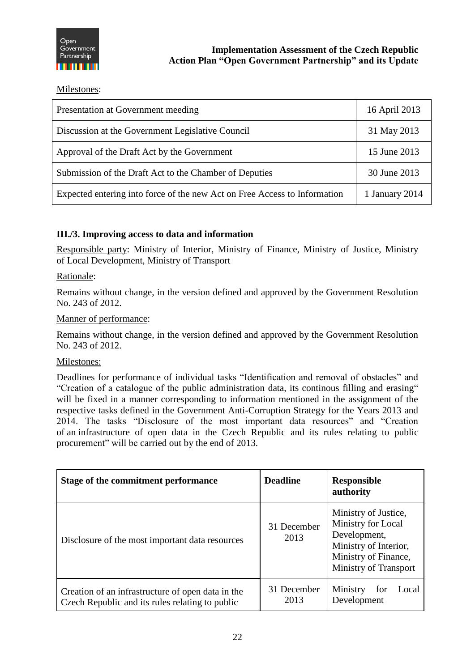

Milestones:

| Presentation at Government meeding                                        | 16 April 2013  |
|---------------------------------------------------------------------------|----------------|
| Discussion at the Government Legislative Council                          | 31 May 2013    |
| Approval of the Draft Act by the Government                               | 15 June 2013   |
| Submission of the Draft Act to the Chamber of Deputies                    | 30 June 2013   |
| Expected entering into force of the new Act on Free Access to Information | 1 January 2014 |

# <span id="page-22-0"></span>**III./3. Improving access to data and information**

Responsible party: Ministry of Interior, Ministry of Finance, Ministry of Justice, Ministry of Local Development, Ministry of Transport

Rationale:

Remains without change, in the version defined and approved by the Government Resolution No. 243 of 2012.

#### Manner of performance:

Remains without change, in the version defined and approved by the Government Resolution No. 243 of 2012.

#### Milestones:

Deadlines for performance of individual tasks "Identification and removal of obstacles" and "Creation of a catalogue of the public administration data, its continous filling and erasing" will be fixed in a manner corresponding to information mentioned in the assignment of the respective tasks defined in the Government Anti-Corruption Strategy for the Years 2013 and 2014. The tasks "Disclosure of the most important data resources" and "Creation of an infrastructure of open data in the Czech Republic and its rules relating to public procurement" will be carried out by the end of 2013.

| Stage of the commitment performance                                                                  | <b>Deadline</b>     | <b>Responsible</b><br>authority                                                                                                             |
|------------------------------------------------------------------------------------------------------|---------------------|---------------------------------------------------------------------------------------------------------------------------------------------|
| Disclosure of the most important data resources                                                      | 31 December<br>2013 | Ministry of Justice,<br>Ministry for Local<br>Development,<br>Ministry of Interior,<br>Ministry of Finance,<br><b>Ministry of Transport</b> |
| Creation of an infrastructure of open data in the<br>Czech Republic and its rules relating to public | 31 December<br>2013 | Ministry<br>Local<br>for<br>Development                                                                                                     |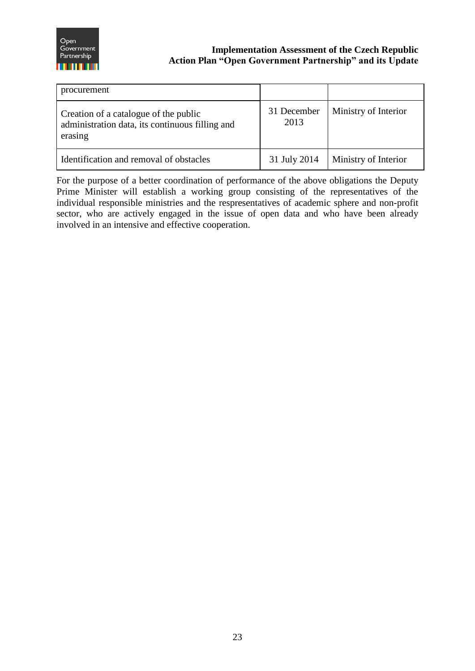

# **Open**<br> **Examplementation Assessment of the Czech Republic Partnership Action Plan "Open Government Partnership" and its Update**

| procurement                                                                                         |                     |                      |
|-----------------------------------------------------------------------------------------------------|---------------------|----------------------|
| Creation of a catalogue of the public<br>administration data, its continuous filling and<br>erasing | 31 December<br>2013 | Ministry of Interior |
| Identification and removal of obstacles                                                             | 31 July 2014        | Ministry of Interior |

For the purpose of a better coordination of performance of the above obligations the Deputy Prime Minister will establish a working group consisting of the representatives of the individual responsible ministries and the respresentatives of academic sphere and non-profit sector, who are actively engaged in the issue of open data and who have been already involved in an intensive and effective cooperation.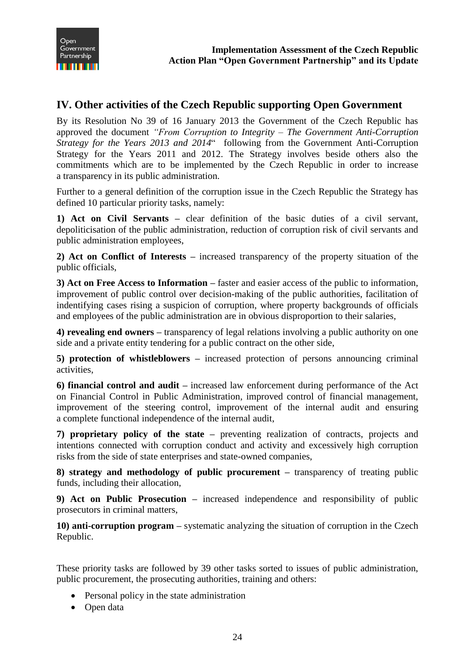# <span id="page-24-0"></span>**IV. Other activities of the Czech Republic supporting Open Government**

By its Resolution No 39 of 16 January 2013 the Government of the Czech Republic has approved the document *"From Corruption to Integrity – The Government Anti-Corruption Strategy for the Years 2013 and 2014*" following from the Government Anti-Corruption Strategy for the Years 2011 and 2012. The Strategy involves beside others also the commitments which are to be implemented by the Czech Republic in order to increase a transparency in its public administration.

Further to a general definition of the corruption issue in the Czech Republic the Strategy has defined 10 particular priority tasks, namely:

**1) Act on Civil Servants –** clear definition of the basic duties of a civil servant, depoliticisation of the public administration, reduction of corruption risk of civil servants and public administration employees,

**2) Act on Conflict of Interests –** increased transparency of the property situation of the public officials,

**3) Act on Free Access to Information –** faster and easier access of the public to information, improvement of public control over decision-making of the public authorities, facilitation of indentifying cases rising a suspicion of corruption, where property backgrounds of officials and employees of the public administration are in obvious disproportion to their salaries,

**4) revealing end owners –** transparency of legal relations involving a public authority on one side and a private entity tendering for a public contract on the other side,

**5) protection of whistleblowers –** increased protection of persons announcing criminal activities,

**6) financial control and audit –** increased law enforcement during performance of the Act on Financial Control in Public Administration, improved control of financial management, improvement of the steering control, improvement of the internal audit and ensuring a complete functional independence of the internal audit,

**7) proprietary policy of the state –** preventing realization of contracts, projects and intentions connected with corruption conduct and activity and excessively high corruption risks from the side of state enterprises and state-owned companies,

**8) strategy and methodology of public procurement –** transparency of treating public funds, including their allocation,

**9) Act on Public Prosecution –** increased independence and responsibility of public prosecutors in criminal matters,

**10) anti-corruption program –** systematic analyzing the situation of corruption in the Czech Republic.

These priority tasks are followed by 39 other tasks sorted to issues of public administration, public procurement, the prosecuting authorities, training and others:

- Personal policy in the state administration
- Open data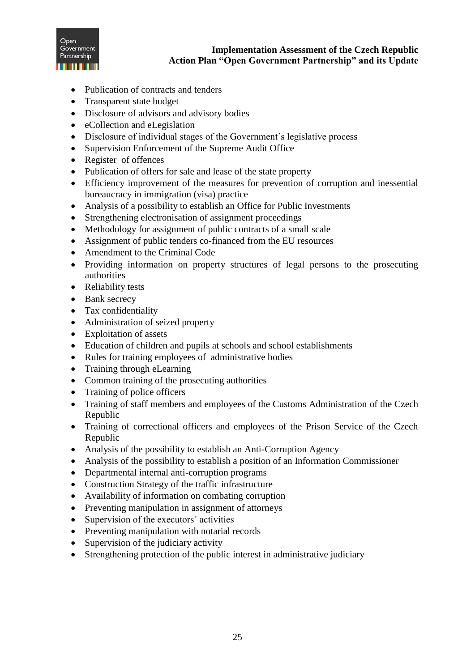

- Publication of contracts and tenders
- Transparent state budget
- Disclosure of advisors and advisory bodies
- eCollection and eLegislation
- Disclosure of individual stages of the Government´s legislative process
- Supervision Enforcement of the Supreme Audit Office
- Register of offences
- Publication of offers for sale and lease of the state property
- Efficiency improvement of the measures for prevention of corruption and inessential bureaucracy in immigration (visa) practice
- Analysis of a possibility to establish an Office for Public Investments
- Strengthening electronisation of assignment proceedings
- Methodology for assignment of public contracts of a small scale
- Assignment of public tenders co-financed from the EU resources
- Amendment to the Criminal Code
- Providing information on property structures of legal persons to the prosecuting authorities
- Reliability tests
- Bank secrecy
- Tax confidentiality
- Administration of seized property
- Exploitation of assets
- Education of children and pupils at schools and school establishments
- Rules for training employees of administrative bodies
- Training through eLearning
- Common training of the prosecuting authorities
- Training of police officers
- Training of staff members and employees of the Customs Administration of the Czech Republic
- Training of correctional officers and employees of the Prison Service of the Czech Republic
- Analysis of the possibility to establish an Anti-Corruption Agency
- Analysis of the possibility to establish a position of an Information Commissioner
- Departmental internal anti-corruption programs
- Construction Strategy of the traffic infrastructure
- Availability of information on combating corruption
- Preventing manipulation in assignment of attorneys
- Supervision of the executors' activities
- Preventing manipulation with notarial records
- Supervision of the judiciary activity
- Strengthening protection of the public interest in administrative judiciary